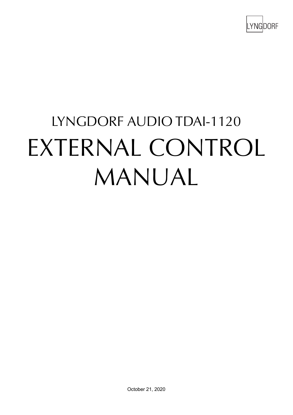

# LYNGDORF AUDIO TDAI-1120  $TUTTDLIAI$ EXTERNAL CONTROL MANUAL EXTERNAL CONTROL MANUAL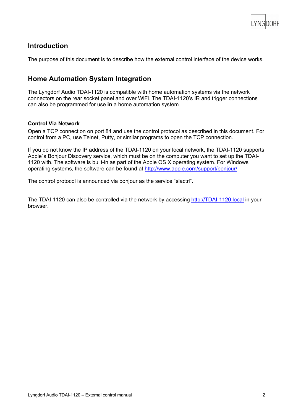

## **Introduction**

The purpose of this document is to describe how the external control interface of the device works.

## **Home Automation System Integration**

The Lyngdorf Audio TDAI-1120 is compatible with home automation systems via the network connectors on the rear socket panel and over WiFi. The TDAI-1120's IR and trigger connections can also be programmed for use **in** a home automation system.

#### **Control Via Network**

Open a TCP connection on port 84 and use the control protocol as described in this document. For control from a PC, use Telnet, Putty, or similar programs to open the TCP connection.

If you do not know the IP address of the TDAI-1120 on your local network, the TDAI-1120 supports Apple´s Bonjour Discovery service, which must be on the computer you want to set up the TDAI-1120 with. The software is built-in as part of the Apple OS X operating system. For Windows operating systems, the software can be found at http://www.apple.com/support/bonjour/

The control protocol is announced via bonjour as the service "slactrl".

The TDAI-1120 can also be controlled via the network by accessing http://TDAI-1120.local in your browser.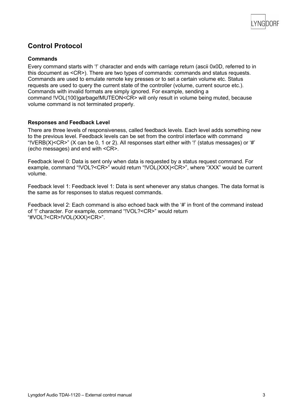

# **Control Protocol**

### **Commands**

Every command starts with '!' character and ends with carriage return (ascii 0x0D, referred to in this document as <CR>). There are two types of commands: commands and status requests. Commands are used to emulate remote key presses or to set a certain volume etc. Status requests are used to query the current state of the controller (volume, current source etc.). Commands with invalid formats are simply ignored. For example, sending a command !VOL(100)garbage!MUTEON<CR> will only result in volume being muted, because volume command is not terminated properly.

#### **Responses and Feedback Level**

There are three levels of responsiveness, called feedback levels. Each level adds something new to the previous level. Feedback levels can be set from the control interface with command "!VERB(X)<CR>" (X can be 0, 1 or 2). All responses start either with '!' (status messages) or '#' (echo messages) and end with <CR>.

Feedback level 0: Data is sent only when data is requested by a status request command. For example, command "!VOL?<CR>" would return "!VOL(XXX)<CR>", where "XXX" would be current volume.

Feedback level 1: Feedback level 1: Data is sent whenever any status changes. The data format is the same as for responses to status request commands.

Feedback level 2: Each command is also echoed back with the '#' in front of the command instead of '!' character. For example, command "!VOL?<CR>" would return "#VOL?<CR>!VOL(XXX)<CR>".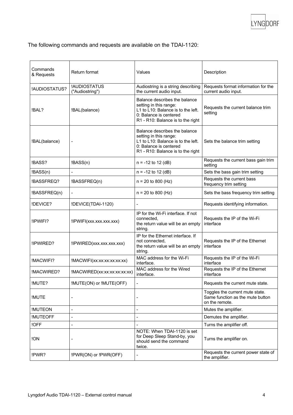

The following commands and requests are available on the TDAI-1120:

| Commands<br>& Requests | Return format                   | Values                                                                                                                                                       | Description                                                                           |
|------------------------|---------------------------------|--------------------------------------------------------------------------------------------------------------------------------------------------------------|---------------------------------------------------------------------------------------|
| !AUDIOSTATUS?          | !AUDIOSTATUS<br>("Audiostring") | Audiostring is a string describing<br>the current audio input.                                                                                               | Requests format information for the<br>current audio input.                           |
| !BAL?                  | !BAL(balance)                   | Balance describes the balance<br>setting in this range:<br>L1 to L10: Balance is to the left.<br>0: Balance is centered<br>R1 - R10: Balance is to the right | Requests the current balance trim<br>setting                                          |
| !BAL(balance)          |                                 | Balance describes the balance<br>setting in this range:<br>L1 to L10: Balance is to the left.<br>0: Balance is centered<br>R1 - R10: Balance is to the right | Sets the balance trim setting                                                         |
| !BASS?                 | !BASS(n)                        | $n = -12$ to 12 (dB)                                                                                                                                         | Requests the current bass gain trim<br>setting                                        |
| !BASS(n)               | $\overline{a}$                  | $n = -12$ to 12 (dB)                                                                                                                                         | Sets the bass gain trim setting                                                       |
| !BASSFREQ?             | !BASSFREQ(n)                    | $n = 20$ to 800 (Hz)                                                                                                                                         | Requests the current bass<br>frequency trim setting                                   |
| !BASSFREQ(n)           | $\overline{a}$                  | $n = 20$ to 800 (Hz)                                                                                                                                         | Sets the bass frequency trim setting                                                  |
| !DEVICE?               | !DEVICE(TDAI-1120)              | $\blacksquare$                                                                                                                                               | Requests identifying information.                                                     |
| !IPWIFI?               | !IPWIFI(xxx.xxx.xxx.xxx)        | IP for the Wi-Fi interface. If not<br>connected,<br>the return value will be an empty<br>string.                                                             | Requests the IP of the Wi-Fi<br>interface                                             |
| !IPWIRED?              | !IPWIRED(xxx.xxx.xxx.xxx)       | IP for the Ethernet interface. If<br>not connected.<br>the return value will be an empty<br>string.                                                          | Requests the IP of the Ethernet<br>interface                                          |
| !MACWIFI?              | !MACWIFI(xx:xx:xx:xx:xx:xx)     | MAC address for the Wi-Fi<br>interface.                                                                                                                      | Requests the IP of the Wi-Fi<br>interface                                             |
| !MACWIRED?             | !MACWIRED(xx:xx:xx:xx:xx:xx)    | MAC address for the Wired<br>interface.                                                                                                                      | Requests the IP of the Ethernet<br>interface                                          |
| !MUTE?                 | !MUTE(ON) or !MUTE(OFF)         | $\overline{\phantom{a}}$                                                                                                                                     | Requests the current mute state.                                                      |
| !MUTE                  |                                 |                                                                                                                                                              | Toggles the current mute state.<br>Same function as the mute button<br>on the remote. |
| <b>!MUTEON</b>         |                                 |                                                                                                                                                              | Mutes the amplifier.                                                                  |
| <b>!MUTEOFF</b>        | ٠                               |                                                                                                                                                              | Demutes the amplifier.                                                                |
| !OFF                   |                                 |                                                                                                                                                              | Turns the amplifier off.                                                              |
| !ON                    |                                 | NOTE: When TDAI-1120 is set<br>for Deep Sleep Stand-by, you<br>should send the command<br>twice.                                                             | Turns the amplifier on.                                                               |
| !PWR?                  | !PWR(ON) or !PWR(OFF)           | $\overline{a}$                                                                                                                                               | Requests the current power state of<br>the amplifier.                                 |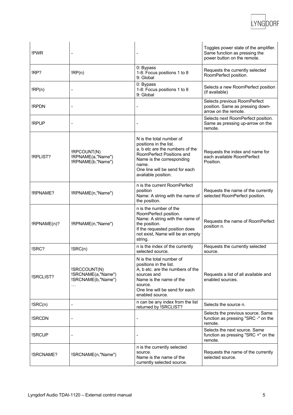

| !PWR        |                                                                         | $\overline{a}$                                                                                                                                                                                                    | Toggles power state of the amplifier.<br>Same function as pressing the<br>power button on the remote. |
|-------------|-------------------------------------------------------------------------|-------------------------------------------------------------------------------------------------------------------------------------------------------------------------------------------------------------------|-------------------------------------------------------------------------------------------------------|
| !RP?        | IRP(n)                                                                  | 0: Bypass<br>1-8: Focus positions 1 to 8<br>9: Global                                                                                                                                                             | Requests the currently selected<br>RoomPerfect position.                                              |
| IRP(n)      |                                                                         | 0: Bypass<br>1-8: Focus positions 1 to 8<br>9: Global                                                                                                                                                             | Selects a new RoomPerfect position<br>(if available)                                                  |
| !RPDN       |                                                                         | $\overline{a}$                                                                                                                                                                                                    | Selects previous RoomPerfect<br>position. Same as pressing down-<br>arrow on the remote.              |
| !RPUP       |                                                                         |                                                                                                                                                                                                                   | Selects next RoomPerfect position.<br>Same as pressing up-arrow on the<br>remote.                     |
| !RPLIST?    | !RPCOUNT(N)<br>!RPNAME(a, "Name")<br>!RPNAME(b,"Name")                  | N is the total number of<br>positions in the list.<br>a, b etc are the numbers of the<br>RoomPerfect Positions and<br>Name is the corresponding<br>name.<br>One line will be send for each<br>available position. | Requests the index and name for<br>each available RoomPerfect<br>Position.                            |
| !RPNAME?    | !RPNAME(n,"Name")                                                       | n is the current RoomPerfect<br>position<br>Name: A string with the name of<br>the position.                                                                                                                      | Requests the name of the currently<br>selected RoomPerfect position.                                  |
| IRPNAME(n)? | !RPNAME(n,"Name")                                                       | n is the number of the<br>RoomPerfect position.<br>Name: A string with the name of<br>the position.<br>If the requested position does<br>not exist, Name will be an empty<br>string.                              | Requests the name of RoomPerfect<br>position n.                                                       |
| !SRC?       | ISRC(n)                                                                 | n is the index of the currently<br>selected source.                                                                                                                                                               | Requests the currently selected<br>source.                                                            |
| !SRCLIST?   | !SRCCOUNT(N)<br>!SRCNAME(a, "Name")<br>!SRCNAME(b, "Name")<br>$\ddotsc$ | N is the total number of<br>positions in the list.<br>A, b etc. are the numbers of the<br>sources and<br>Name is the name of the<br>source.<br>One line will be send for each<br>enabled source.                  | Requests a list of all available and<br>enabled sources.                                              |
| ISRC(n)     | L                                                                       | n can be any index from the list<br>returned by !SRCLIST?                                                                                                                                                         | Selects the source n.                                                                                 |
| !SRCDN      |                                                                         |                                                                                                                                                                                                                   | Selects the previous source. Same<br>function as pressing "SRC -" on the<br>remote.                   |
| !SRCUP      |                                                                         | $\qquad \qquad \blacksquare$                                                                                                                                                                                      | Selects the next source. Same<br>function as pressing "SRC +" on the<br>remote.                       |
| !SRCNAME?   | !SRCNAME(n,"Name")                                                      | n is the currently selected<br>source.<br>Name is the name of the<br>currently selected source.                                                                                                                   | Requests the name of the currently<br>selected source.                                                |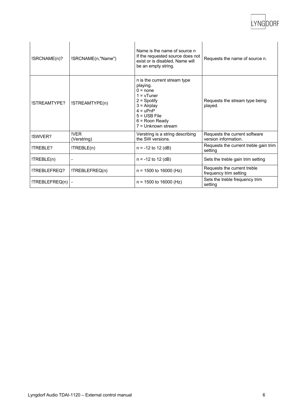LYNGDORF

| !SRCNAME(n)?   | !SRCNAME(n,"Name")  | Name is the name of source n<br>If the requested source does not<br>exist or is disabled, Name will<br>be an empty string.                                                            | Requests the name of source n.                        |
|----------------|---------------------|---------------------------------------------------------------------------------------------------------------------------------------------------------------------------------------|-------------------------------------------------------|
| !STREAMTYPE?   | !STREAMTYPE(n)      | n is the current stream type<br>playing.<br>$0 = none$<br>$1 = vT$ uner<br>$2 =$ Spotify<br>$3 =$ Airplay<br>$4 = uPnP$<br>$5 =$ USB File<br>$6$ = Roon Ready<br>$7 =$ Unknown stream | Requests the stream type being<br>played.             |
| !SWVER?        | !VER<br>(Verstring) | Verstring is a string describing<br>the SW versions.                                                                                                                                  | Requests the current software<br>version information. |
| !TREBLE?       | !TREBLE(n)          | $n = -12$ to 12 (dB)                                                                                                                                                                  | Requests the current treble gain trim<br>setting      |
| ITREBLE(n)     |                     | $n = -12$ to 12 (dB)                                                                                                                                                                  | Sets the treble gain trim setting                     |
| !TREBLEFREQ?   | !TREBLEFREQ(n)      | $n = 1500$ to 16000 (Hz)                                                                                                                                                              | Requests the current treble<br>frequency trim setting |
| !TREBLEFREQ(n) |                     | $n = 1500$ to 16000 (Hz)                                                                                                                                                              | Sets the treble frequency trim<br>setting             |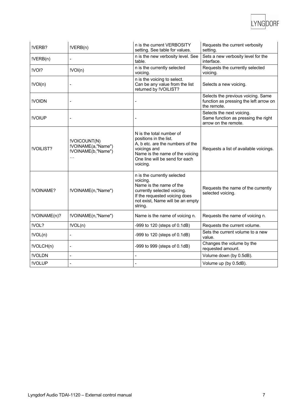| !VERB?       | IVERB(n)                                                  | n is the current VERBOSITY<br>setting. See table for values.                                                                                                                            | Requests the current verbosity<br>setting.                                                  |
|--------------|-----------------------------------------------------------|-----------------------------------------------------------------------------------------------------------------------------------------------------------------------------------------|---------------------------------------------------------------------------------------------|
| IVERB(n)     |                                                           | n is the new verbosity level. See<br>table.                                                                                                                                             | Sets a new verbosity level for the<br>interface.                                            |
| !VOI?        | !VOI(n)                                                   | n is the currently selected<br>voicing.                                                                                                                                                 | Requests the currently selected<br>voicing.                                                 |
| !VOI(n)      |                                                           | n is the voicing to select.<br>Can be any value from the list<br>returned by !VOILIST?                                                                                                  | Selects a new voicing.                                                                      |
| !VOIDN       | $\overline{a}$                                            |                                                                                                                                                                                         | Selects the previous voicing. Same<br>function as pressing the left arrow on<br>the remote. |
| !VOIUP       |                                                           |                                                                                                                                                                                         | Selects the next voicing.<br>Same function as pressing the right<br>arrow on the remote.    |
| !VOILIST?    | !VOICOUNT(N)<br>!VOINAME(a, "Name")<br>!VOINAME(b,"Name") | N is the total number of<br>positions in the list.<br>A, b etc. are the numbers of the<br>voicings and<br>Name is the name of the voicing<br>One line will be send for each<br>voicing. | Requests a list of available voicings.                                                      |
| !VOINAME?    | !VOINAME(n,"Name")                                        | n is the currently selected<br>voicing.<br>Name is the name of the<br>currently selected voicing.<br>If the requested voicing does<br>not exist, Name will be an empty<br>string.       | Requests the name of the currently<br>selected voicing.                                     |
| !VOINAME(n)? | !VOINAME(n,"Name")                                        | Name is the name of voicing n.                                                                                                                                                          | Requests the name of voicing n.                                                             |
| !VOL?        | !VOL(n)                                                   | -999 to 120 (steps of 0.1dB)                                                                                                                                                            | Requests the current volume.                                                                |
| IVOL(n)      | Ĭ.                                                        | -999 to 120 (steps of 0.1dB)                                                                                                                                                            | Sets the current volume to a new<br>value.                                                  |
| !VOLCH(n)    | -                                                         | -999 to 999 (steps of 0.1dB)                                                                                                                                                            | Changes the volume by the<br>requested amount.                                              |
| !VOLDN       | $\overline{a}$                                            |                                                                                                                                                                                         | Volume down (by 0.5dB).                                                                     |
| !VOLUP       | L,                                                        |                                                                                                                                                                                         | Volume up (by 0.5dB).                                                                       |

LYNGDORF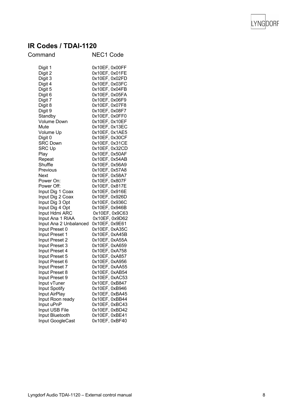

## **IR Codes / TDAI -1120**

| Command                          | <b>NEC1 Code</b>                 |
|----------------------------------|----------------------------------|
| Digit 1                          | 0x10EF, 0x00FF                   |
| Digit 2                          |                                  |
| Digit 3                          | 0x10EF, 0x01FE<br>0x10EF, 0x02FD |
| Digit 4                          | 0x10EF, 0x03FC                   |
| Digit 5                          | 0x10EF, 0x04FB                   |
| Digit 6                          | 0x10EF, 0x05FA                   |
| Digit 7                          | 0x10EF, 0x06F9                   |
| Digit 8                          | 0x10EF, 0x07F8                   |
| Digit 9                          | 0x10EF, 0x08F7                   |
| Standby                          | 0x10EF, 0x0FF0                   |
| <b>Volume Down</b>               | 0x10EF, 0x10EF                   |
| Mute                             | 0x10EF, 0x13EC                   |
| Volume Up                        | 0x10EF, 0x1AE5<br>0x10EF, 0x30CF |
| Digit 0                          | 0x10EF, 0x31CE                   |
| <b>SRC Down</b><br><b>SRC Up</b> |                                  |
|                                  | 0x10EF, 0x32CD                   |
| Play<br>Repeat                   | 0x10EF, 0x50AF                   |
| Shuffle                          | 0x10EF, 0x54AB                   |
| Previous                         | 0x10EF, 0x56A9<br>0x10EF, 0x57A8 |
| <b>Next</b>                      | 0x10EF, 0x58A7                   |
| Power On:                        | 0x10EF, 0x807F                   |
| Power Off:                       | 0x10EF, 0x817E                   |
| Input Dig 1 Coax                 | 0x10EF, 0x916E                   |
| Input Dig 2 Coax                 | 0x10EF, 0x926D                   |
| Input Dig 3 Opt                  | 0x10EF, 0x936C                   |
| Input Dig 4 Opt                  | 0x10EF, 0x946B                   |
| Input Hdmi ARC                   | 0x10EF, 0x9C63                   |
| Input Ana 1 RIAA                 | 0x10EF, 0x9D62                   |
| Input Ana 2 Unbalanced           | 0x10EF, 0x9E61                   |
| Input Preset 0                   | 0x10EF, 0xA35C                   |
| Input Preset 1                   | 0x10EF, 0xA45B                   |
| Input Preset 2                   | 0x10EF, 0xA55A                   |
| Input Preset 3                   | 0x10EF, 0xA659                   |
| Input Preset 4                   | 0x10EF, 0xA758                   |
| Input Preset 5                   | 0x10EF, 0xA857                   |
| Input Preset 6                   | 0x10EF, 0xA956                   |
| Input Preset 7                   | 0x10EF, 0xAA55                   |
| Input Preset 8                   | 0x10EF, 0xAB54                   |
| Input Preset 9                   | 0x10EF, 0xAC53                   |
| Input vTuner<br>Input Spotify    | 0x10EF, 0xB847<br>0x10EF, 0xB946 |
| Input AirPlay                    | 0x10EF, 0xBA45                   |
| Input Roon ready                 | 0x10EF, 0xBB44                   |
| Input uPnP                       | 0x10EF, 0xBC43                   |
| Input USB File                   | 0x10EF, 0xBD42                   |
| Input Bluetooth                  | 0x10EF, 0xBE41                   |
| Input GoogleCast                 | 0x10EF, 0xBF40                   |